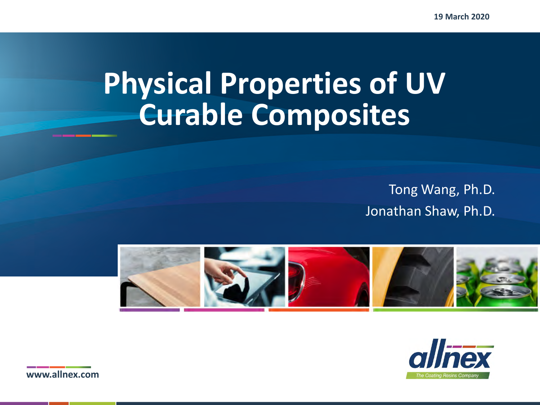**19 March 2020**

# **Physical Properties of UV Curable Composites**

Tong Wang, Ph.D. Jonathan Shaw, Ph.D.





**www.allnex.com**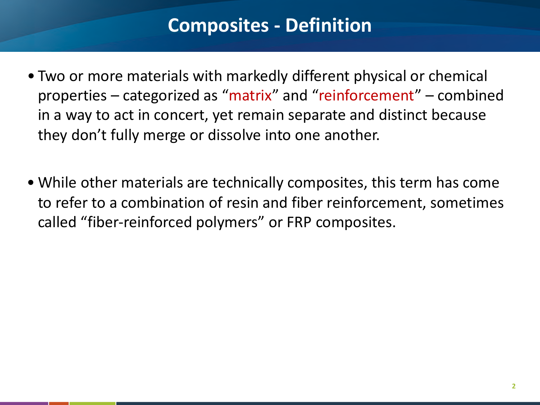#### **Composites - Definition**

- Two or more materials with markedly different physical or chemical properties – categorized as "matrix" and "reinforcement" – combined in a way to act in concert, yet remain separate and distinct because they don't fully merge or dissolve into one another.
- While other materials are technically composites, this term has come to refer to a combination of resin and fiber reinforcement, sometimes called "fiber-reinforced polymers" or FRP composites.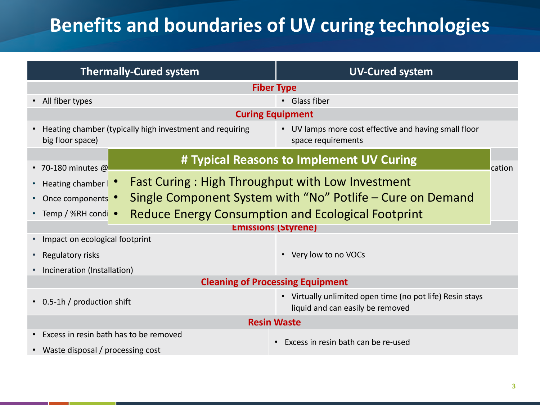## **Benefits and boundaries of UV curing technologies**

| <b>Thermally-Cured system</b>                                                                                                | <b>UV-Cured system</b>                                                      |  |  |  |  |  |  |
|------------------------------------------------------------------------------------------------------------------------------|-----------------------------------------------------------------------------|--|--|--|--|--|--|
|                                                                                                                              | <b>Fiber Type</b>                                                           |  |  |  |  |  |  |
| • All fiber types<br>• Glass fiber                                                                                           |                                                                             |  |  |  |  |  |  |
|                                                                                                                              | <b>Curing Equipment</b>                                                     |  |  |  |  |  |  |
| Heating chamber (typically high investment and requiring<br>big floor space)                                                 | • UV lamps more cost effective and having small floor<br>space requirements |  |  |  |  |  |  |
| $\cdot$ 70-180 minutes @                                                                                                     | # Typical Reasons to Implement UV Curing<br>cation                          |  |  |  |  |  |  |
| Heating chamber                                                                                                              | <b>Fast Curing: High Throughput with Low Investment</b>                     |  |  |  |  |  |  |
| Once components •                                                                                                            | Single Component System with "No" Potlife – Cure on Demand                  |  |  |  |  |  |  |
| • Temp / %RH condi •                                                                                                         | <b>Reduce Energy Consumption and Ecological Footprint</b>                   |  |  |  |  |  |  |
|                                                                                                                              | <b>Emissions (Styrene)</b>                                                  |  |  |  |  |  |  |
| Impact on ecological footprint                                                                                               |                                                                             |  |  |  |  |  |  |
| Regulatory risks                                                                                                             | • Very low to no VOCs                                                       |  |  |  |  |  |  |
| Incineration (Installation)                                                                                                  |                                                                             |  |  |  |  |  |  |
|                                                                                                                              | <b>Cleaning of Processing Equipment</b>                                     |  |  |  |  |  |  |
| • Virtually unlimited open time (no pot life) Resin stays<br>• 0.5-1h / production shift<br>liquid and can easily be removed |                                                                             |  |  |  |  |  |  |
|                                                                                                                              | <b>Resin Waste</b>                                                          |  |  |  |  |  |  |
| Excess in resin bath has to be removed<br>• Waste disposal / processing cost                                                 | Excess in resin bath can be re-used                                         |  |  |  |  |  |  |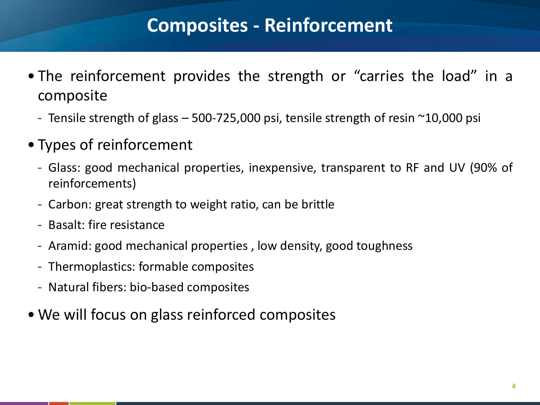### **Composites - Reinforcement**

- The reinforcement provides the strength or "carries the load" in a composite
	- Tensile strength of glass  $-500-725,000$  psi, tensile strength of resin  $\sim$ 10,000 psi
- Types of reinforcement
	- Glass: good mechanical properties, inexpensive, transparent to RF and UV (90% of reinforcements)
	- Carbon: great strength to weight ratio, can be brittle
	- Basalt: fire resistance
	- Aramid: good mechanical properties , low density, good toughness
	- Thermoplastics: formable composites
	- Natural fibers: bio-based composites
- We will focus on glass reinforced composites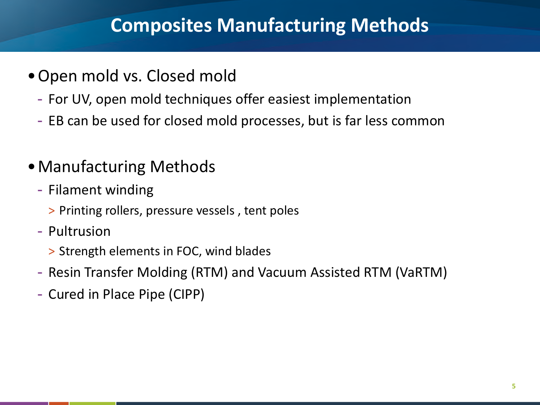### **Composites Manufacturing Methods**

- •Open mold vs. Closed mold
- For UV, open mold techniques offer easiest implementation
	- EB can be used for closed mold processes, but is far less common
	- •Manufacturing Methods
		- Filament winding
			- > Printing rollers, pressure vessels , tent poles
		- Pultrusion
			- > Strength elements in FOC, wind blades
		- Resin Transfer Molding (RTM) and Vacuum Assisted RTM (VaRTM)
		- Cured in Place Pipe (CIPP)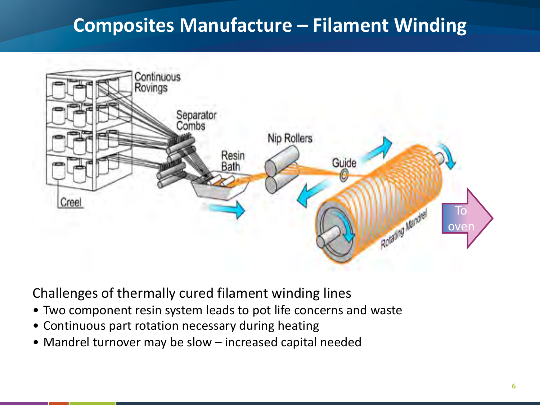## **Composites Manufacture – Filament Winding**



Challenges of thermally cured filament winding lines

- Two component resin system leads to pot life concerns and waste
- Continuous part rotation necessary during heating
- Mandrel turnover may be slow increased capital needed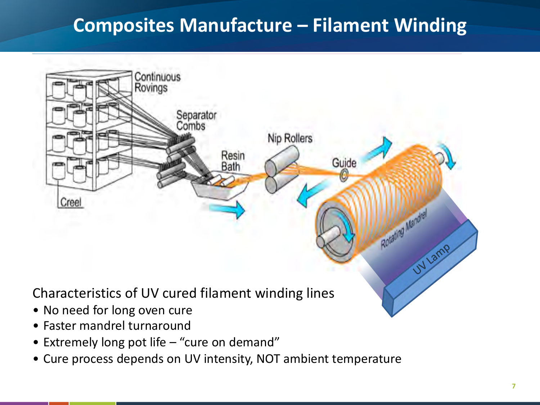## **Composites Manufacture – Filament Winding**



- Faster mandrel turnaround
- **Agenda** Extremely long pot life "cure on demand"
	- Cure process depends on UV intensity, NOT ambient temperature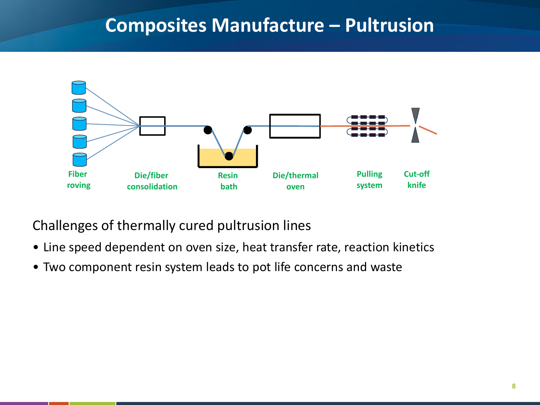#### **Composites Manufacture – Pultrusion**



Challenges of thermally cured pultrusion lines

- Line speed dependent on oven size, heat transfer rate, reaction kinetics
- Two component resin system leads to pot life concerns and waste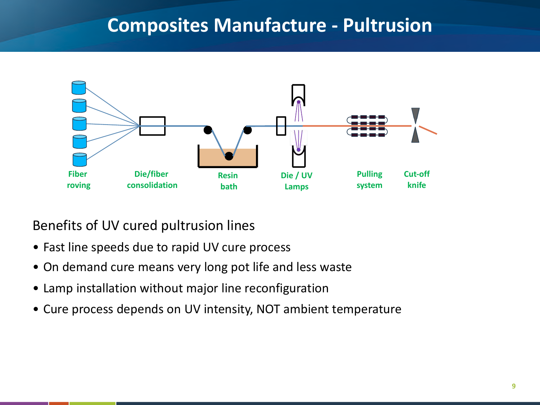#### **Composites Manufacture - Pultrusion**



Benefits of UV cured pultrusion lines

- Fast line speeds due to rapid UV cure process
- On demand cure means very long pot life and less waste
- Lamp installation without major line reconfiguration
- **V** Cure • Cure process depends on UV intensity, NOT ambient temperature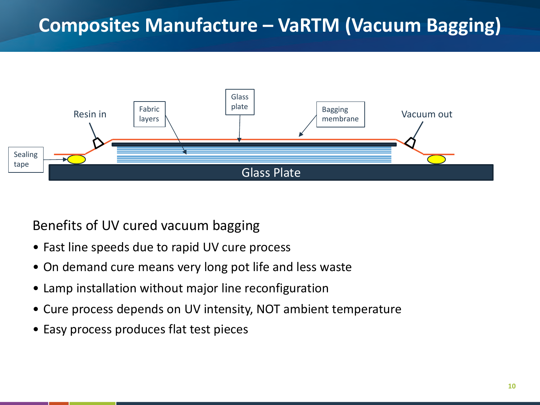## **Composites Manufacture – VaRTM (Vacuum Bagging)**



Benefits of UV cured vacuum bagging

- Fast line speeds due to rapid UV cure process
- On demand cure means very long pot life and less waste
- Lamp installation without major line reconfiguration
- **Property** • Cure process depends on UV intensity, NOT ambient temperature
	- Easy process produces flat test pieces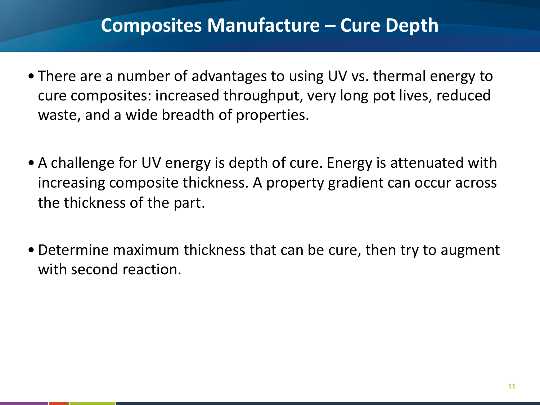#### **Composites Manufacture – Cure Depth**

- There are a number of advantages to using UV vs. thermal energy to cure composites: increased throughput, very long pot lives, reduced waste, and a wide breadth of properties.
- A challenge for UV energy is depth of cure. Energy is attenuated with increasing composite thickness. A property gradient can occur across the thickness of the part.
- Determine maximum thickness that can be cure, then try to augment with second reaction.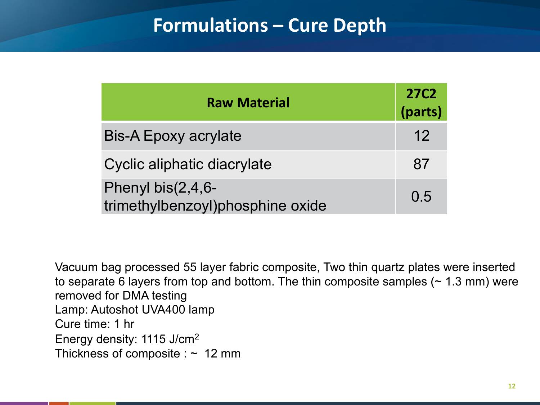#### **Formulations – Cure Depth**

| <b>Raw Material</b>                                   |     |  |  |  |
|-------------------------------------------------------|-----|--|--|--|
| <b>Bis-A Epoxy acrylate</b>                           | 12  |  |  |  |
| Cyclic aliphatic diacrylate                           | 87  |  |  |  |
| Phenyl bis(2,4,6-<br>trimethylbenzoyl)phosphine oxide | 0.5 |  |  |  |

Vacuum bag processed 55 layer fabric composite, Two thin quartz plates were inserted to separate 6 layers from top and bottom. The thin composite samples  $($   $\sim$  1.3 mm) were removed for DMA testing Lamp: Autoshot UVA400 lamp Cure time: 1 hr Energy density: 1115 J/cm2 Thickness of composite :  $\sim 12$  mm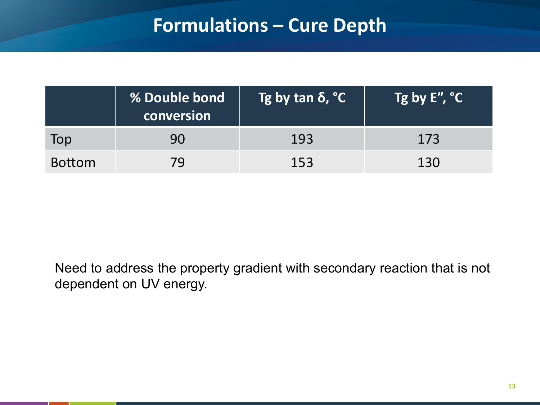#### **Formulations – Cure Depth**

|               | % Double bond<br>conversion | Tg by tan δ, °C | $\sqrt{\text{Tg}}$ by E'', $\text{C}$ $\sqrt{\text{S}$ |
|---------------|-----------------------------|-----------------|--------------------------------------------------------|
| Top           | 90                          | 193             | 173                                                    |
| <b>Bottom</b> | 79                          | 153             | 130                                                    |

Need to address the property gradient with secondary reaction that is not dependent on UV energy.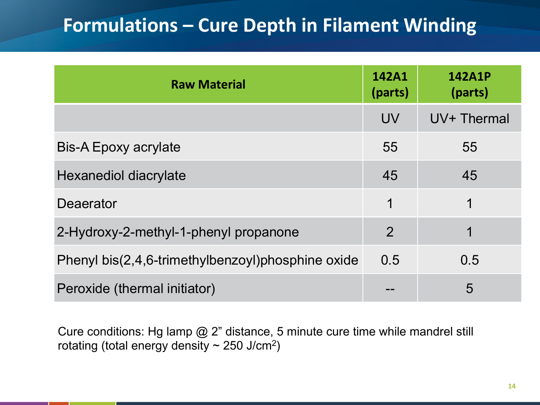### **Formulations – Cure Depth in Filament Winding**

| <b>Raw Material</b>                               | 142A1<br>(parts) | <b>142A1P</b><br>(parts) |
|---------------------------------------------------|------------------|--------------------------|
|                                                   | <b>UV</b>        | UV+ Thermal              |
| <b>Bis-A Epoxy acrylate</b>                       | 55               | 55                       |
| Hexanediol diacrylate                             | 45               | 45                       |
| Deaerator                                         | 1                | 1                        |
| 2-Hydroxy-2-methyl-1-phenyl propanone             | $\overline{2}$   | 1                        |
| Phenyl bis(2,4,6-trimethylbenzoyl)phosphine oxide | 0.5              | 0.5                      |
| Peroxide (thermal initiator)                      |                  | 5                        |

**Agenda** Cure conditions: Hg lamp @ 2" distance, 5 minute cure time while mandrel still rotating (total energy density  $\sim$  250 J/cm<sup>2</sup>)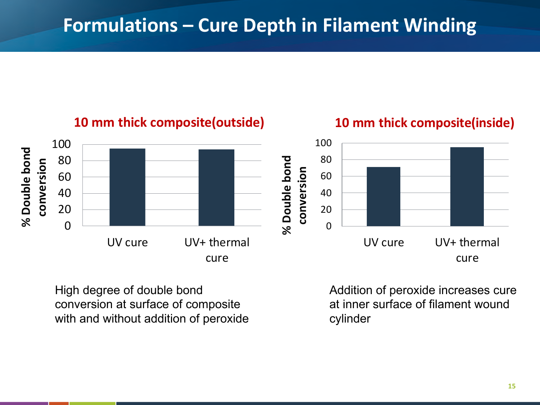

High degree of double bond conversion at surface of composite with and without addition of peroxide Addition of peroxide increases cure at inner surface of filament wound cylinder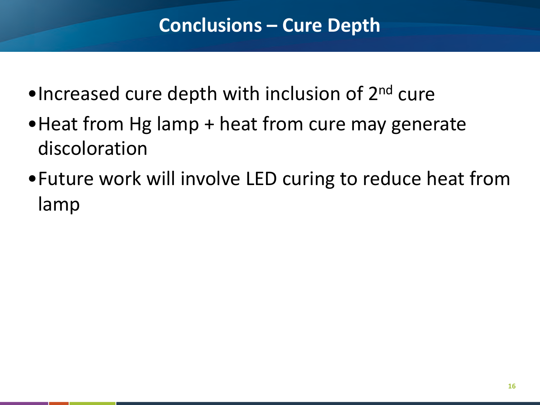- •Increased cure depth with inclusion of 2<sup>nd</sup> cure
- Heat from Hg lamp + heat from cure may generate discoloration
- •Future work will involve LED curing to reduce heat from lamp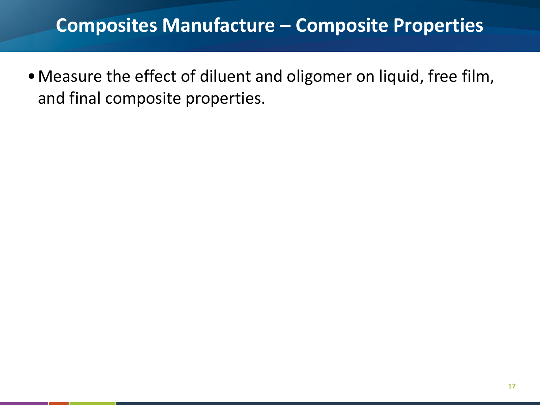#### **Composites Manufacture – Composite Properties**

•Measure the effect of diluent and oligomer on liquid, free film, and final composite properties.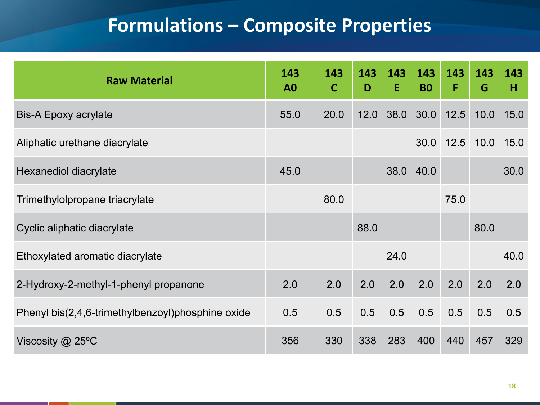## **Formulations – Composite Properties**

| <b>Raw Material</b>                               | 143<br>A <sub>0</sub> | 143<br>$\mathbf C$ | 143<br>D | 143<br>E | 143<br><b>B0</b> | 143<br>F | 143<br>G | 143<br>н |
|---------------------------------------------------|-----------------------|--------------------|----------|----------|------------------|----------|----------|----------|
| <b>Bis-A Epoxy acrylate</b>                       | 55.0                  | 20.0               | 12.0     | 38.0     | 30.0             | 12.5     | 10.0     | 15.0     |
| Aliphatic urethane diacrylate                     |                       |                    |          |          | 30.0             | 12.5     | 10.0     | 15.0     |
| Hexanediol diacrylate                             | 45.0                  |                    |          | 38.0     | 40.0             |          |          | 30.0     |
| Trimethylolpropane triacrylate                    |                       | 80.0               |          |          |                  | 75.0     |          |          |
| Cyclic aliphatic diacrylate                       |                       |                    | 88.0     |          |                  |          | 80.0     |          |
| Ethoxylated aromatic diacrylate                   |                       |                    |          | 24.0     |                  |          |          | 40.0     |
| 2-Hydroxy-2-methyl-1-phenyl propanone             | 2.0                   | 2.0                | 2.0      | 2.0      | 2.0              | 2.0      | 2.0      | 2.0      |
| Phenyl bis(2,4,6-trimethylbenzoyl)phosphine oxide | 0.5                   | 0.5                | 0.5      | 0.5      | 0.5              | 0.5      | 0.5      | 0.5      |
| Viscosity @ 25°C                                  | 356                   | 330                | 338      | 283      | 400              | 440      | 457      | 329      |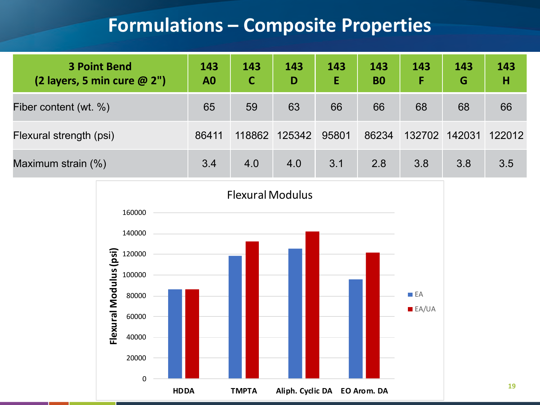#### **Formulations – Composite Properties**

| <b>3 Point Bend</b><br>(2 layers, 5 min cure $@2"$ ) | 143<br>A <sub>0</sub> | 143    | 143<br>D | 143<br>E | 143<br><b>BO</b> | 143<br>F | 143<br>G | 143<br>H |
|------------------------------------------------------|-----------------------|--------|----------|----------|------------------|----------|----------|----------|
| Fiber content (wt. %)                                | 65                    | 59     | 63       | 66       | 66               | 68       | 68       | 66       |
| Flexural strength (psi)                              | 86411                 | 118862 | 125342   | 95801    | 86234            | 132702   | 142031   | 122012   |
| Maximum strain (%)                                   | 3.4                   | 4.0    | 4.0      | 3.1      | 2.8              | 3.8      | 3.8      | 3.5      |

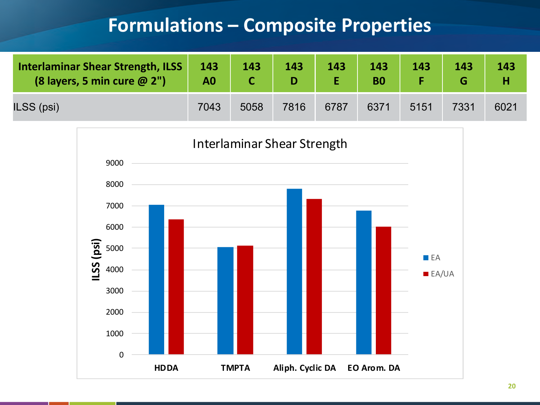#### **Formulations – Composite Properties**

| Interlaminar Shear Strength, ILSS<br>(8 layers, 5 min cure @ 2") | 143<br>A0 | 143  | 143  | 143  | 143  | 143  | 143  | 143  |
|------------------------------------------------------------------|-----------|------|------|------|------|------|------|------|
| ILSS (psi)                                                       | 7043      | 5058 | 7816 | 6787 | 6371 | 5151 | 7331 | 6021 |

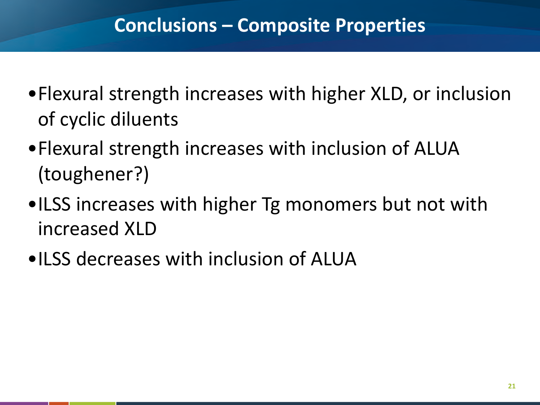- •Flexural strength increases with higher XLD, or inclusion of cyclic diluents
- •Flexural strength increases with inclusion of ALUA (toughener?)
- •ILSS increases with higher Tg monomers but not with increased XLD
- •ILSS decreases with inclusion of ALUA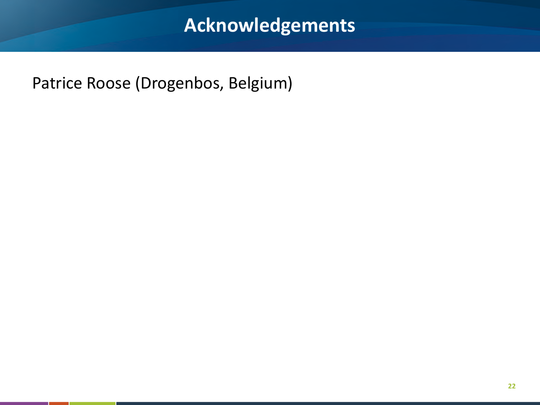## **Acknowledgements**

Patrice Roose (Drogenbos, Belgium)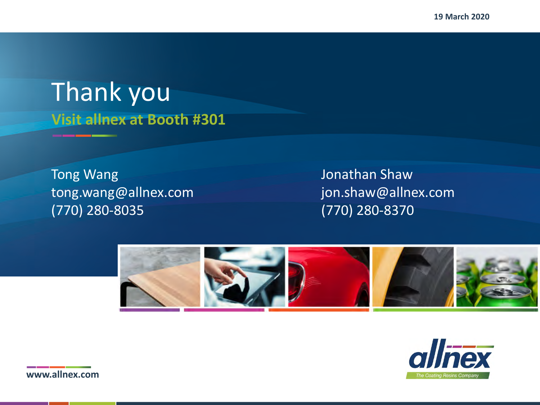**19 March 2020**

## **Visit allnex at Booth #301** Thank you

Tong Wang **Internal Contract Contract Contract Contract Contract Contract Contract Contract Contract Contract Contract Contract Contract Contract Contract Contract Contract Contract Contract Contract Contract Contract Cont** tong.wang@allnex.com jon.shaw@allnex.com (770) 280-8035 (770) 280-8370





**www.allnex.com**